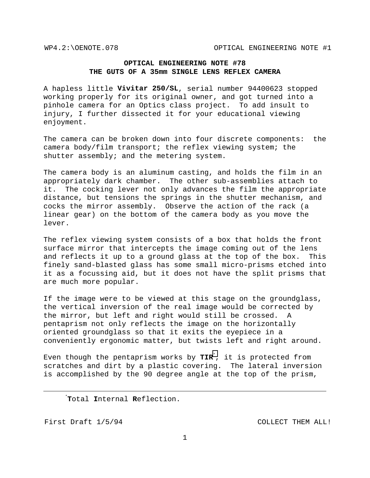## **OPTICAL ENGINEERING NOTE #78 THE GUTS OF A 35mm SINGLE LENS REFLEX CAMERA**

A hapless little **Vivitar 250/SL**, serial number 94400623 stopped working properly for its original owner, and got turned into a pinhole camera for an Optics class project. To add insult to injury, I further dissected it for your educational viewing enjoyment.

The camera can be broken down into four discrete components: the camera body/film transport; the reflex viewing system; the shutter assembly; and the metering system.

The camera body is an aluminum casting, and holds the film in an appropriately dark chamber. The other sub-assemblies attach to it. The cocking lever not only advances the film the appropriate distance, but tensions the springs in the shutter mechanism, and cocks the mirror assembly. Observe the action of the rack (a linear gear) on the bottom of the camera body as you move the lever.

The reflex viewing system consists of a box that holds the front surface mirror that intercepts the image coming out of the lens and reflects it up to a ground glass at the top of the box. This finely sand-blasted glass has some small micro-prisms etched into it as a focussing aid, but it does not have the split prisms that are much more popular.

If the image were to be viewed at this stage on the groundglass, the vertical inversion of the real image would be corrected by the mirror, but left and right would still be crossed. A pentaprism not only reflects the image on the horizontally oriented groundglass so that it exits the eyepiece in a conveniently ergonomic matter, but twists left and right around.

Even though the pentaprism works by **TIR**\* , it is protected from scratches and dirt by a plastic covering. The lateral inversion is accomplished by the 90 degree angle at the top of the prism,

 \* **T**otal **I**nternal **R**eflection.

First Draft  $1/5/94$  COLLECT THEM ALL!

 $\overline{a}$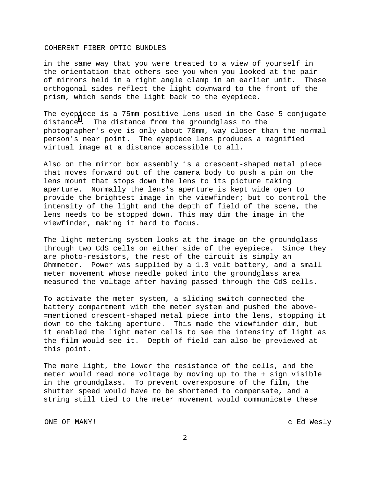## COHERENT FIBER OPTIC BUNDLES

in the same way that you were treated to a view of yourself in the orientation that others see you when you looked at the pair of mirrors held in a right angle clamp in an earlier unit. These orthogonal sides reflect the light downward to the front of the prism, which sends the light back to the eyepiece.

The eyep[i](#page-3-0)ece is a 75mm positive lens used in the Case 5 conjugate distance $^{\rm l}$ . The distance from the groundglass to the photographer's eye is only about 70mm, way closer than the normal person's near point. The eyepiece lens produces a magnified virtual image at a distance accessible to all.

Also on the mirror box assembly is a crescent-shaped metal piece that moves forward out of the camera body to push a pin on the lens mount that stops down the lens to its picture taking aperture. Normally the lens's aperture is kept wide open to provide the brightest image in the viewfinder; but to control the intensity of the light and the depth of field of the scene, the lens needs to be stopped down. This may dim the image in the viewfinder, making it hard to focus.

The light metering system looks at the image on the groundglass through two CdS cells on either side of the eyepiece. Since they are photo-resistors, the rest of the circuit is simply an Ohmmeter. Power was supplied by a 1.3 volt battery, and a small meter movement whose needle poked into the groundglass area measured the voltage after having passed through the CdS cells.

To activate the meter system, a sliding switch connected the battery compartment with the meter system and pushed the above- =mentioned crescent-shaped metal piece into the lens, stopping it down to the taking aperture. This made the viewfinder dim, but it enabled the light meter cells to see the intensity of light as the film would see it. Depth of field can also be previewed at this point.

The more light, the lower the resistance of the cells, and the meter would read more voltage by moving up to the + sign visible in the groundglass. To prevent overexposure of the film, the shutter speed would have to be shortened to compensate, and a string still tied to the meter movement would communicate these

ONE OF MANY! C Ed Wesly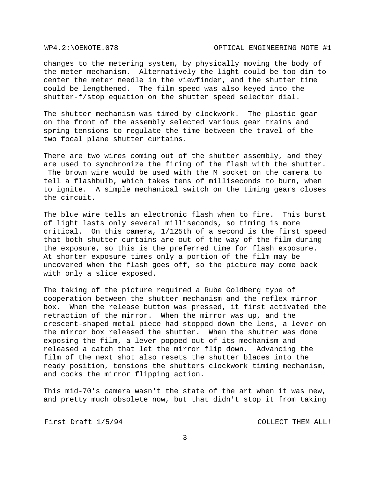changes to the metering system, by physically moving the body of the meter mechanism. Alternatively the light could be too dim to center the meter needle in the viewfinder, and the shutter time could be lengthened. The film speed was also keyed into the shutter-f/stop equation on the shutter speed selector dial.

The shutter mechanism was timed by clockwork. The plastic gear on the front of the assembly selected various gear trains and spring tensions to regulate the time between the travel of the two focal plane shutter curtains.

There are two wires coming out of the shutter assembly, and they are used to synchronize the firing of the flash with the shutter. The brown wire would be used with the M socket on the camera to tell a flashbulb, which takes tens of milliseconds to burn, when to ignite. A simple mechanical switch on the timing gears closes the circuit.

The blue wire tells an electronic flash when to fire. This burst of light lasts only several milliseconds, so timing is more critical. On this camera, 1/125th of a second is the first speed that both shutter curtains are out of the way of the film during the exposure, so this is the preferred time for flash exposure. At shorter exposure times only a portion of the film may be uncovered when the flash goes off, so the picture may come back with only a slice exposed.

The taking of the picture required a Rube Goldberg type of cooperation between the shutter mechanism and the reflex mirror box. When the release button was pressed, it first activated the retraction of the mirror. When the mirror was up, and the crescent-shaped metal piece had stopped down the lens, a lever on the mirror box released the shutter. When the shutter was done exposing the film, a lever popped out of its mechanism and released a catch that let the mirror flip down. Advancing the film of the next shot also resets the shutter blades into the ready position, tensions the shutters clockwork timing mechanism, and cocks the mirror flipping action.

This mid-70's camera wasn't the state of the art when it was new, and pretty much obsolete now, but that didn't stop it from taking

First Draft  $1/5/94$  COLLECT THEM ALL!